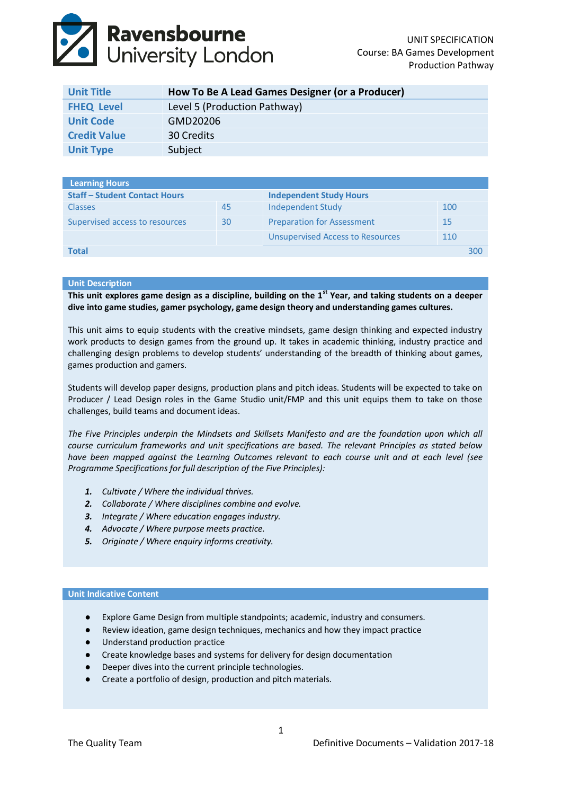# **Ravensbourne**<br>University London

| <b>Unit Title</b>   | How To Be A Lead Games Designer (or a Producer) |
|---------------------|-------------------------------------------------|
| <b>FHEQ Level</b>   | Level 5 (Production Pathway)                    |
| <b>Unit Code</b>    | GMD20206                                        |
| <b>Credit Value</b> | 30 Credits                                      |
| <b>Unit Type</b>    | Subject                                         |

| <b>Staff - Student Contact Hours</b> |                                         | <b>Independent Study Hours</b> |     |
|--------------------------------------|-----------------------------------------|--------------------------------|-----|
| 45                                   | Independent Study                       | 100                            |     |
| 30                                   | <b>Preparation for Assessment</b>       | 15                             |     |
|                                      | <b>Unsupervised Access to Resources</b> | 110                            |     |
|                                      |                                         |                                | 300 |
|                                      |                                         |                                |     |

# **Unit Description**

**This unit explores game design as a discipline, building on the 1st Year, and taking students on a deeper dive into game studies, gamer psychology, game design theory and understanding games cultures.**

This unit aims to equip students with the creative mindsets, game design thinking and expected industry work products to design games from the ground up. It takes in academic thinking, industry practice and challenging design problems to develop students' understanding of the breadth of thinking about games, games production and gamers.

Students will develop paper designs, production plans and pitch ideas. Students will be expected to take on Producer / Lead Design roles in the Game Studio unit/FMP and this unit equips them to take on those challenges, build teams and document ideas.

*The Five Principles underpin the Mindsets and Skillsets Manifesto and are the foundation upon which all course curriculum frameworks and unit specifications are based. The relevant Principles as stated below have been mapped against the Learning Outcomes relevant to each course unit and at each level (see Programme Specifications for full description of the Five Principles):*

- *1. Cultivate / Where the individual thrives.*
- *2. Collaborate / Where disciplines combine and evolve.*
- *3. Integrate / Where education engages industry.*
- *4. Advocate / Where purpose meets practice.*
- *5. Originate / Where enquiry informs creativity.*

# **Unit Indicative Content**

- Explore Game Design from multiple standpoints; academic, industry and consumers.
- Review ideation, game design techniques, mechanics and how they impact practice
- Understand production practice
- Create knowledge bases and systems for delivery for design documentation
- Deeper dives into the current principle technologies.
- Create a portfolio of design, production and pitch materials.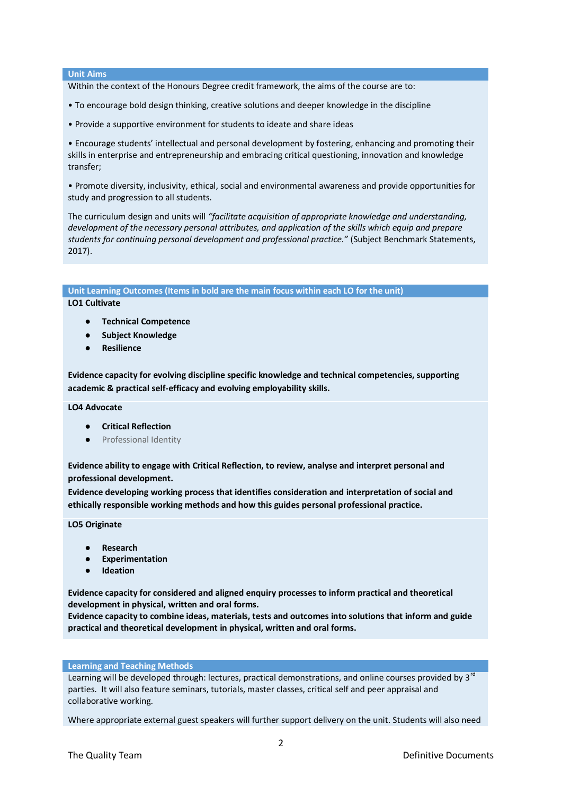## **Unit Aims**

Within the context of the Honours Degree credit framework, the aims of the course are to:

- To encourage bold design thinking, creative solutions and deeper knowledge in the discipline
- Provide a supportive environment for students to ideate and share ideas

• Encourage students' intellectual and personal development by fostering, enhancing and promoting their skills in enterprise and entrepreneurship and embracing critical questioning, innovation and knowledge transfer;

• Promote diversity, inclusivity, ethical, social and environmental awareness and provide opportunities for study and progression to all students.

The curriculum design and units will *"facilitate acquisition of appropriate knowledge and understanding, development of the necessary personal attributes, and application of the skills which equip and prepare students for continuing personal development and professional practice."* (Subject Benchmark Statements, 2017).

# **Unit Learning Outcomes (Items in bold are the main focus within each LO for the unit)**

**LO1 Cultivate**

- **Technical Competence**
- **Subject Knowledge**
- **Resilience**

**Evidence capacity for evolving discipline specific knowledge and technical competencies, supporting academic & practical self-efficacy and evolving employability skills.**

**LO4 Advocate**

- **Critical Reflection**
- Professional Identity

**Evidence ability to engage with Critical Reflection, to review, analyse and interpret personal and professional development.**

**Evidence developing working process that identifies consideration and interpretation of social and ethically responsible working methods and how this guides personal professional practice.**

**LO5 Originate**

- **Research**
- **Experimentation**
- **Ideation**

**Evidence capacity for considered and aligned enquiry processes to inform practical and theoretical development in physical, written and oral forms.**

**Evidence capacity to combine ideas, materials, tests and outcomes into solutions that inform and guide practical and theoretical development in physical, written and oral forms.**

#### **Learning and Teaching Methods**

Learning will be developed through: lectures, practical demonstrations, and online courses provided by 3<sup>rd</sup> parties. It will also feature seminars, tutorials, master classes, critical self and peer appraisal and collaborative working.

Where appropriate external guest speakers will further support delivery on the unit. Students will also need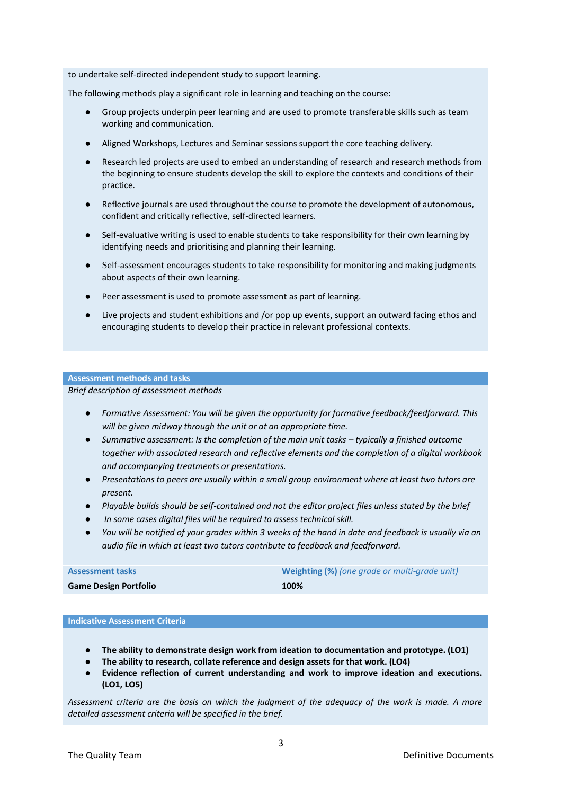to undertake self‐directed independent study to support learning.

The following methods play a significant role in learning and teaching on the course:

- Group projects underpin peer learning and are used to promote transferable skills such as team working and communication.
- Aligned Workshops, Lectures and Seminar sessions support the core teaching delivery.
- Research led projects are used to embed an understanding of research and research methods from the beginning to ensure students develop the skill to explore the contexts and conditions of their practice.
- Reflective journals are used throughout the course to promote the development of autonomous, confident and critically reflective, self‐directed learners.
- Self-evaluative writing is used to enable students to take responsibility for their own learning by identifying needs and prioritising and planning their learning.
- Self-assessment encourages students to take responsibility for monitoring and making judgments about aspects of their own learning.
- Peer assessment is used to promote assessment as part of learning.
- Live projects and student exhibitions and /or pop up events, support an outward facing ethos and encouraging students to develop their practice in relevant professional contexts.

# **Assessment methods and tasks**

*Brief description of assessment methods*

- *Formative Assessment: You will be given the opportunity for formative feedback/feedforward. This will be given midway through the unit or at an appropriate time.*
- *Summative assessment: Is the completion of the main unit tasks typically a finished outcome together with associated research and reflective elements and the completion of a digital workbook and accompanying treatments or presentations.*
- *Presentations to peers are usually within a small group environment where at least two tutors are present.*
- *Playable builds should be self-contained and not the editor project files unless stated by the brief*
- In some cases digital files will be required to assess technical skill.
- *You will be notified of your grades within 3 weeks of the hand in date and feedback is usually via an audio file in which at least two tutors contribute to feedback and feedforward.*

| <b>Assessment tasks</b>      | <b>Weighting (%)</b> (one grade or multi-grade unit) |
|------------------------------|------------------------------------------------------|
| <b>Game Design Portfolio</b> | 100%                                                 |

# **Indicative Assessment Criteria**

- **The ability to demonstrate design work from ideation to documentation and prototype. (LO1)**
- **The ability to research, collate reference and design assets for that work. (LO4)**
- Evidence reflection of current understanding and work to improve ideation and executions. **(LO1, LO5)**

*Assessment criteria are the basis on which the judgment of the adequacy of the work is made. A more detailed assessment criteria will be specified in the brief.*